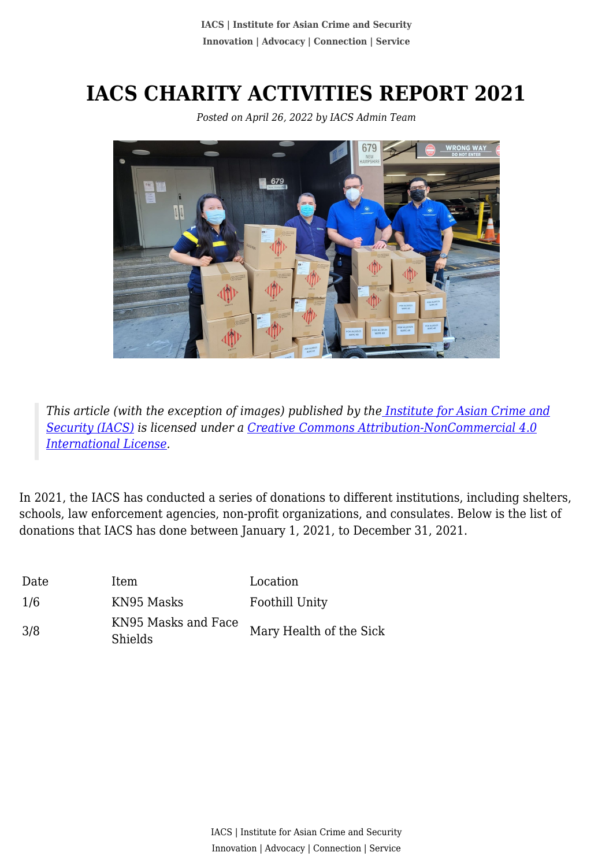## **IACS CHARITY ACTIVITIES REPORT 2021**



*Posted on April 26, 2022 by IACS Admin Team*

*This article (with the exception of images) published by th[e Institute for Asian Crime and](http://www.theiacs.org) [Security \(IACS\)](http://www.theiacs.org) is licensed under a [Creative Commons Attribution-NonCommercial 4.0](http://creativecommons.org/licenses/by-nc/4.0/) [International License](http://creativecommons.org/licenses/by-nc/4.0/).*

In 2021, the IACS has conducted a series of donations to different institutions, including shelters, schools, law enforcement agencies, non-profit organizations, and consulates. Below is the list of donations that IACS has done between January 1, 2021, to December 31, 2021.

| Date | Item                                  | Location                |
|------|---------------------------------------|-------------------------|
| 1/6  | KN95 Masks                            | Foothill Unity          |
| 3/8  | KN95 Masks and Face<br><b>Shields</b> | Mary Health of the Sick |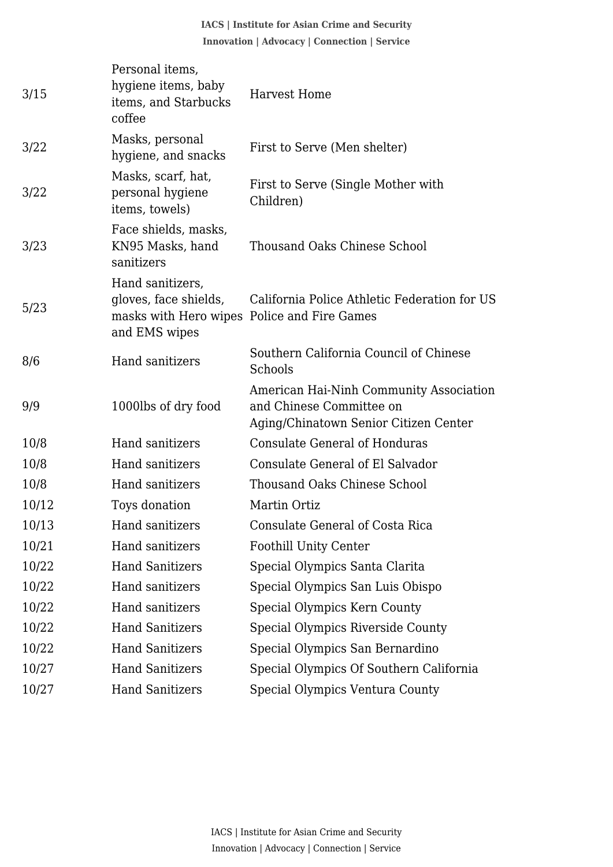**IACS | Institute for Asian Crime and Security Innovation | Advocacy | Connection | Service**

| 3/15  | Personal items,<br>hygiene items, baby<br>items, and Starbucks<br>coffee                                  | <b>Harvest Home</b>                                                                                          |
|-------|-----------------------------------------------------------------------------------------------------------|--------------------------------------------------------------------------------------------------------------|
| 3/22  | Masks, personal<br>hygiene, and snacks                                                                    | First to Serve (Men shelter)                                                                                 |
| 3/22  | Masks, scarf, hat,<br>personal hygiene<br>items, towels)                                                  | First to Serve (Single Mother with<br>Children)                                                              |
| 3/23  | Face shields, masks,<br>KN95 Masks, hand<br>sanitizers                                                    | Thousand Oaks Chinese School                                                                                 |
| 5/23  | Hand sanitizers,<br>gloves, face shields,<br>masks with Hero wipes Police and Fire Games<br>and EMS wipes | California Police Athletic Federation for US                                                                 |
| 8/6   | <b>Hand sanitizers</b>                                                                                    | Southern California Council of Chinese<br>Schools                                                            |
| 9/9   | 1000lbs of dry food                                                                                       | American Hai-Ninh Community Association<br>and Chinese Committee on<br>Aging/Chinatown Senior Citizen Center |
| 10/8  | Hand sanitizers                                                                                           | <b>Consulate General of Honduras</b>                                                                         |
| 10/8  | Hand sanitizers                                                                                           | Consulate General of El Salvador                                                                             |
| 10/8  | Hand sanitizers                                                                                           | <b>Thousand Oaks Chinese School</b>                                                                          |
| 10/12 | Toys donation                                                                                             | Martin Ortiz                                                                                                 |
| 10/13 | Hand sanitizers                                                                                           | Consulate General of Costa Rica                                                                              |
| 10/21 | Hand sanitizers                                                                                           | <b>Foothill Unity Center</b>                                                                                 |
| 10/22 | <b>Hand Sanitizers</b>                                                                                    | Special Olympics Santa Clarita                                                                               |
| 10/22 | Hand sanitizers                                                                                           | Special Olympics San Luis Obispo                                                                             |
| 10/22 | Hand sanitizers                                                                                           | Special Olympics Kern County                                                                                 |
| 10/22 | <b>Hand Sanitizers</b>                                                                                    | Special Olympics Riverside County                                                                            |
| 10/22 | <b>Hand Sanitizers</b>                                                                                    | Special Olympics San Bernardino                                                                              |
| 10/27 | <b>Hand Sanitizers</b>                                                                                    | Special Olympics Of Southern California                                                                      |
| 10/27 | <b>Hand Sanitizers</b>                                                                                    | Special Olympics Ventura County                                                                              |